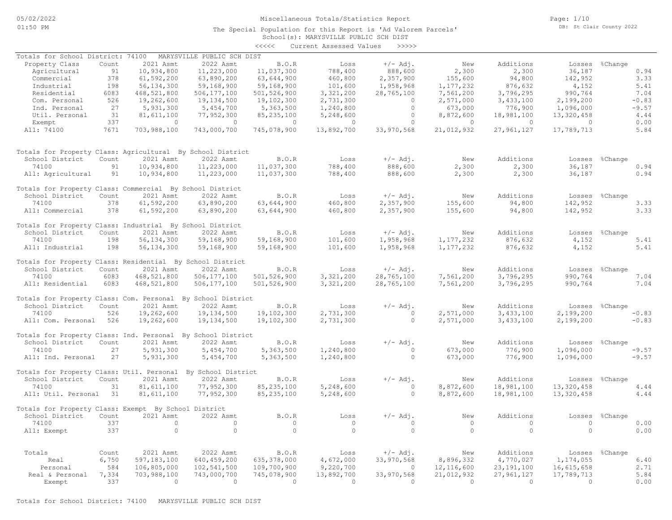Page: 1/10 DB: St Clair County 2022

# School(s): MARYSVILLE PUBLIC SCH DIST The Special Population for this Report is 'Ad Valorem Parcels' <<<<< Current Assessed Values >>>>> Totals for Property Class: Residential By School District All: Industrial 198 56,134,300 59,168,900 59,168,900 101,600 1,958,968 1,177,232 876,632 4,152 5.41 74100 198 56,134,300 59,168,900 59,168,900 101,600 1,958,968 1,177,232 876,632 4,152 5.41 School District Count 2021 Asmt 2022 Asmt B.O.R Loss +/-Adj. New Additions Losses %Change Totals for Property Class: Industrial By School District All: Commercial 378 61,592,200 63,890,200 63,644,900 460,800 2,357,900 155,600 94,800 142,952 3.33 74100 378 61,592,200 63,890,200 63,644,900 460,800 2,357,900 155,600 94,800 142,952 3.33 School District Count 2021 Asmt 2022 Asmt B.O.R Loss +/-Adj. New Additions Losses %Change Totals for Property Class: Commercial By School District 8chool District Count 2021 Asmt 2022 Asmt B.O.K boss +/- Auj. New Auditions bosse sonange<br>1913 - 10,934,800 11,223,000 11,037,300 788,400 888,600 2,300 2,300 36,187 0.94<br>11:Aqricultural 91 10,934,800 11,223,000 11,037,300 74100 91 10,934,800 11,223,000 11,037,300 788,400 888,600 2,300 2,300 36,187 0.94 School District Count 2021 Asmt 2022 Asmt B.O.R Loss +/- Adj. New Additions Losses %Change<br>74100 91 10,934,800 11,223,000 11,037,300 788,400 888,600 2,300 2,300 36,187 0.94 Totals for Property Class: Agricultural By School District All: 74100 7671 703,988,100 743,000,700 745,078,900 13,892,700 33,970,568 21,012,932 27,961,127 17,789,713 5.84 Exempt 337 0 0 0 0 0 0 0 0 0.00 Util. Personal 31 81,611,100 77,952,300 85,235,100 5,248,600 0 8,872,600 18,981,100 13,320,458 4.44 Ind. Personal 27 5,931,300 5,454,700 5,363,500 1,240,800 0 673,000 776,900 1,096,000 -9.57 Com. Personal 526 19,262,600 19,134,500 19,102,300 2,731,300 0 2,571,000 3,433,100 2,199,200 -0.83 Residential 6083 468,521,800 506,177,100 501,526,900 3,321,200 28,765,100 7,561,200 3,796,295 990,764 7.04 الماد - 198,630,200 55,644,300 100,600 2,337,300 1,177,232 876,6302 1,177,032<br>198,168,900 59,168,900 101,600 1,958,968 1,177,232 876,632 1,17,032 4,152 5.41<br>198,177,100 501,526,900 3,321,200 28,765,100 7,561,200 3,796,295 Commercial 378 61,592,200 63,890,200 63,644,900 460,800 2,357,900 155,600 94,800 142,952 3.33 Agricultural 01 10,934,800 11,223,000 11,037,300 1668 1668 1668 167,800 1688,600 1688,600 1688,600 2,300 2,300<br>Commercial 378 61,592,200 63,890,200 63,644,900 1660,800 2,357,900 155,600 94,800 142,952 3.33 Property Class Count 2021 Asmt 2022 Asmt B.O.R Loss +/- Adj. Totals for School District: 74100 MARYSVILLE PUBLIC SCH DIST

| School District                                             | Count | 2021 Asmt   | 2022 Asmt          | B.O.R        | Loss      | $+/-$ Adj. | New       | Additions  | Losses     | %Change        |
|-------------------------------------------------------------|-------|-------------|--------------------|--------------|-----------|------------|-----------|------------|------------|----------------|
|                                                             |       |             |                    |              |           |            |           |            |            |                |
| 74100                                                       | 6083  | 468,521,800 | 506,177,100        | 501,526,900  | 3,321,200 | 28,765,100 | 7,561,200 | 3,796,295  | 990,764    | 7.04           |
| All: Residential                                            | 6083  | 468,521,800 | 506,177,100        | 501,526,900  | 3,321,200 | 28,765,100 | 7,561,200 | 3,796,295  | 990,764    | 7.04           |
| Totals for Property Class: Com. Personal By School District |       |             |                    |              |           |            |           |            |            |                |
| School District                                             | Count | 2021 Asmt   | 2022 Asmt          | B.O.R        | Loss      | +/- Adj.   | New       | Additions  |            | Losses %Change |
| 74100                                                       | 526   | 19,262,600  | 19,134,500         | 19,102,300   | 2,731,300 |            | 2,571,000 | 3,433,100  | 2,199,200  | $-0.83$        |
| All: Com. Personal                                          | 526   | 19,262,600  | 19,134,500         | 19,102,300   | 2,731,300 | $\circ$    | 2,571,000 | 3,433,100  | 2,199,200  | $-0.83$        |
| Totals for Property Class: Ind. Personal By School District |       |             |                    |              |           |            |           |            |            |                |
| School District                                             | Count | 2021 Asmt   | 2022 Asmt          | B.O.R        | Loss      | $+/-$ Adj. | New       | Additions  |            | Losses %Change |
| 74100                                                       | 27    | 5,931,300   | 5,454,700          | 5,363,500    | 1,240,800 |            | 673,000   | 776,900    | 1,096,000  | $-9.57$        |
| All: Ind. Personal                                          | 27    | 5,931,300   | 5,454,700          | 5,363,500    | 1,240,800 | $\circ$    | 673,000   | 776,900    | 1,096,000  | $-9.57$        |
| Totals for Property Class: Util. Personal                   |       |             | By School District |              |           |            |           |            |            |                |
| School District                                             | Count | 2021 Asmt   | 2022 Asmt          | B.O.R        | Loss      | $+/-$ Adj. | New       | Additions  | Losses     | %Change        |
| 74100                                                       | 31    | 81,611,100  | 77,952,300         | 85,235,100   | 5,248,600 | $\circ$    | 8,872,600 | 18,981,100 | 13,320,458 | 4.44           |
| All: Util. Personal                                         | 31    | 81,611,100  | 77,952,300         | 85, 235, 100 | 5,248,600 |            | 8,872,600 | 18,981,100 | 13,320,458 | 4.44           |

| Count | 2021 Asmt      | 2022 Asmt                | B.O.R                                                                            | Loss                 | $+/-$ Adj.        | New                      | Additions        | Losses                 | %Change             |         |
|-------|----------------|--------------------------|----------------------------------------------------------------------------------|----------------------|-------------------|--------------------------|------------------|------------------------|---------------------|---------|
| 337   |                |                          |                                                                                  |                      |                   |                          |                  |                        |                     | 0.00    |
| 337   |                |                          |                                                                                  |                      |                   |                          |                  |                        |                     | 0.00    |
|       |                |                          |                                                                                  |                      |                   |                          |                  |                        |                     |         |
|       |                |                          |                                                                                  |                      |                   |                          |                  |                        |                     | 6.40    |
| 584   | 106,805,000    | 102,541,500              | 109,700,900                                                                      | 9,220,700            |                   | 12,116,600               | 23,191,100       | 16,615,658             |                     | 2.71    |
| 7,334 | 703,988,100    | 743,000,700              | 745,078,900                                                                      | 13,892,700           | 33,970,568        | 21,012,932               | 27,961,127       | 17,789,713             |                     | 5.84    |
| 337   |                |                          |                                                                                  |                      |                   |                          |                  |                        |                     | 0.00    |
|       | Count<br>6,750 | 2021 Asmt<br>597,183,100 | Totals for Property Class: Exempt By School District<br>2022 Asmt<br>640,459,200 | B.O.R<br>635,378,000 | Loss<br>4,672,000 | $+/-$ Adj.<br>33,970,568 | New<br>8,896,332 | Additions<br>4,770,027 | Losses<br>1,174,055 | %Change |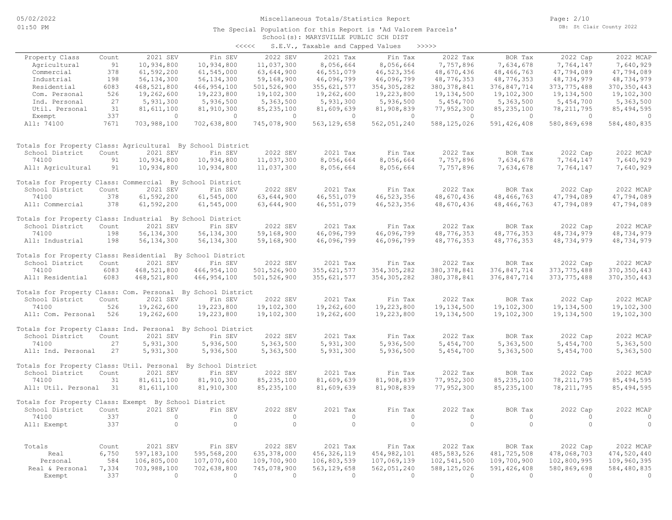#### School(s): MARYSVILLE PUBLIC SCH DIST The Special Population for this Report is 'Ad Valorem Parcels'

| くくくくく | S.E.V., Taxable and Capped Values |  | >>>>> |
|-------|-----------------------------------|--|-------|

|                                                              |              |                           |                           |                               | $5.2.77$ $10.0000$          |                         |                           |                                 |                           |                         |
|--------------------------------------------------------------|--------------|---------------------------|---------------------------|-------------------------------|-----------------------------|-------------------------|---------------------------|---------------------------------|---------------------------|-------------------------|
| Property Class                                               | Count        | 2021 SEV                  | Fin SEV                   | 2022 SEV                      | 2021 Tax                    | Fin Tax                 | 2022 Tax                  | BOR Tax                         | 2022 Cap                  | 2022 MCAP               |
| Agricultural                                                 | 91           | 10,934,800                | 10,934,800                | 11,037,300                    | 8,056,664                   | 8,056,664               | 7,757,896                 | 7,634,678                       | 7,764,147                 | 7,640,929               |
| Commercial                                                   | 378          | 61,592,200                | 61, 545, 000              | 63,644,900                    | 46,551,079                  | 46, 523, 356            | 48,670,436                | 48, 466, 763                    | 47,794,089                | 47,794,089              |
| Industrial                                                   | 198          | 56, 134, 300              | 56, 134, 300              | 59,168,900                    | 46,096,799                  | 46,096,799              | 48,776,353                | 48,776,353                      | 48,734,979                | 48,734,979              |
| Residential                                                  | 6083         | 468,521,800               | 466, 954, 100             | 501,526,900                   | 355, 621, 577               | 354, 305, 282           | 380, 378, 841             | 376,847,714                     | 373, 775, 488             | 370, 350, 443           |
| Com. Personal                                                | 526          | 19,262,600                | 19,223,800                | 19,102,300                    | 19,262,600                  | 19,223,800              | 19,134,500                | 19,102,300                      | 19,134,500                | 19,102,300              |
| Ind. Personal                                                | 27           | 5,931,300                 | 5,936,500                 | 5,363,500                     | 5,931,300                   | 5,936,500               | 5,454,700                 | 5,363,500                       | 5,454,700                 | 5,363,500               |
| Util. Personal                                               | 31           | 81,611,100                | 81,910,300                | 85, 235, 100                  | 81,609,639                  | 81,908,839              | 77,952,300                | 85, 235, 100                    | 78, 211, 795              | 85, 494, 595            |
| Exempt                                                       | 337          | $\circ$                   | $\circ$                   | $\overline{0}$                | $\overline{0}$              | $\circ$                 | $\overline{0}$            | $\circ$                         | $\overline{0}$            | $\circ$                 |
| All: 74100                                                   | 7671         | 703,988,100               | 702,638,800               | 745,078,900                   | 563, 129, 658               | 562,051,240             | 588, 125, 026             | 591, 426, 408                   | 580,869,698               | 584,480,835             |
| Totals for Property Class: Agricultural By School District   |              |                           |                           |                               |                             |                         |                           |                                 |                           |                         |
| School District                                              | Count        | 2021 SEV                  | Fin SEV                   | 2022 SEV                      | 2021 Tax                    | Fin Tax                 | 2022 Tax                  | BOR Tax                         | 2022 Cap                  | 2022 MCAP               |
| 74100                                                        | 91           | 10,934,800                | 10,934,800                | 11,037,300                    | 8,056,664                   | 8,056,664               | 7,757,896                 | 7,634,678                       | 7,764,147                 | 7,640,929               |
| All: Agricultural                                            | 91           | 10,934,800                | 10,934,800                | 11,037,300                    | 8,056,664                   | 8,056,664               | 7,757,896                 | 7,634,678                       | 7,764,147                 | 7,640,929               |
| Totals for Property Class: Commercial By School District     |              |                           |                           |                               |                             |                         |                           |                                 |                           |                         |
| School District                                              | Count        | 2021 SEV                  | Fin SEV                   | 2022 SEV                      | 2021 Tax                    | Fin Tax                 | 2022 Tax                  | BOR Tax                         | 2022 Cap                  | 2022 MCAP               |
| 74100                                                        | 378          | 61,592,200                | 61,545,000                | 63,644,900                    | 46,551,079                  | 46, 523, 356            | 48,670,436                | 48, 466, 763                    | 47,794,089                | 47,794,089              |
| All: Commercial                                              | 378          | 61,592,200                | 61,545,000                | 63,644,900                    | 46,551,079                  | 46, 523, 356            | 48,670,436                | 48,466,763                      | 47,794,089                | 47,794,089              |
| Totals for Property Class: Industrial By School District     |              |                           |                           |                               |                             |                         |                           |                                 |                           |                         |
| School District                                              | Count        | 2021 SEV                  | Fin SEV                   | 2022 SEV                      | 2021 Tax                    | Fin Tax                 | 2022 Tax                  | BOR Tax                         | 2022 Cap                  | 2022 MCAP               |
| 74100                                                        | 198          | 56, 134, 300              | 56, 134, 300              | 59,168,900                    | 46,096,799                  | 46,096,799              | 48,776,353                | 48,776,353                      | 48,734,979                | 48,734,979              |
| All: Industrial                                              | 198          | 56, 134, 300              | 56, 134, 300              | 59,168,900                    | 46,096,799                  | 46,096,799              | 48,776,353                | 48,776,353                      | 48,734,979                | 48,734,979              |
| Totals for Property Class: Residential By School District    |              |                           |                           |                               |                             |                         |                           |                                 |                           |                         |
| School District                                              | Count        | 2021 SEV                  | Fin SEV                   | 2022 SEV                      | 2021 Tax                    | Fin Tax                 | 2022 Tax                  | BOR Tax                         | 2022 Cap                  | 2022 MCAP               |
| 74100                                                        | 6083         | 468,521,800               | 466, 954, 100             | 501,526,900                   | 355,621,577                 | 354, 305, 282           | 380, 378, 841             | 376,847,714                     | 373, 775, 488             | 370, 350, 443           |
| All: Residential                                             | 6083         | 468,521,800               | 466, 954, 100             | 501,526,900                   | 355, 621, 577               | 354, 305, 282           | 380, 378, 841             | 376,847,714                     | 373, 775, 488             | 370, 350, 443           |
| Totals for Property Class: Com. Personal By School District  |              |                           |                           |                               |                             |                         |                           |                                 |                           |                         |
| School District                                              | Count        | 2021 SEV                  | Fin SEV                   | 2022 SEV                      | 2021 Tax                    | Fin Tax                 | 2022 Tax                  | BOR Tax                         | 2022 Cap                  | 2022 MCAP               |
| 74100                                                        | 526          | 19,262,600                | 19,223,800                | 19,102,300                    | 19,262,600                  | 19,223,800              | 19,134,500                | 19,102,300                      | 19,134,500                | 19,102,300              |
| All: Com. Personal 526                                       |              | 19,262,600                | 19,223,800                | 19,102,300                    | 19,262,600                  | 19,223,800              | 19,134,500                | 19,102,300                      | 19,134,500                | 19,102,300              |
| Totals for Property Class: Ind. Personal By School District  |              |                           |                           |                               |                             |                         |                           |                                 |                           |                         |
| School District                                              | Count        | 2021 SEV                  | Fin SEV                   | 2022 SEV                      | 2021 Tax                    | Fin Tax                 | 2022 Tax                  | BOR Tax                         | 2022 Cap                  | 2022 MCAP               |
| 74100                                                        | 27           | 5,931,300                 | 5,936,500                 | 5,363,500                     | 5,931,300                   | 5,936,500               | 5,454,700                 | 5,363,500                       | 5,454,700                 | 5,363,500               |
| All: Ind. Personal                                           | 27           | 5,931,300                 | 5,936,500                 | 5,363,500                     | 5,931,300                   | 5,936,500               | 5,454,700                 | 5,363,500                       | 5,454,700                 | 5,363,500               |
| Totals for Property Class: Util. Personal By School District |              |                           |                           |                               |                             |                         |                           |                                 |                           |                         |
| School District                                              | Count        | 2021 SEV                  | Fin SEV                   | 2022 SEV                      | 2021 Tax                    | Fin Tax                 | 2022 Tax                  | BOR Tax                         | 2022 Cap                  | 2022 MCAP               |
| 74100                                                        | 31           | 81,611,100                | 81,910,300                | 85, 235, 100                  | 81,609,639                  | 81,908,839              | 77,952,300                | 85, 235, 100                    | 78, 211, 795              | 85, 494, 595            |
| All: Util. Personal                                          | 31           | 81, 611, 100              | 81,910,300                | 85, 235, 100                  | 81,609,639                  | 81,908,839              | 77,952,300                | 85, 235, 100                    | 78, 211, 795              | 85, 494, 595            |
| Totals for Property Class: Exempt By School District         |              |                           |                           |                               |                             |                         |                           |                                 |                           |                         |
| School District                                              | Count        | 2021 SEV                  | Fin SEV                   | 2022 SEV                      | 2021 Tax                    | Fin Tax                 | 2022 Tax                  | BOR Tax                         | 2022 Cap                  | 2022 MCAP               |
| 74100                                                        | 337          | $\circ$                   | $\circ$                   | $\circ$                       | $\circ$                     | $\circ$                 | $\circ$                   | $\circ$                         | $\circ$                   | $\circ$                 |
| All: Exempt                                                  | 337          | $\circ$                   | $\circ$                   | $\circ$                       | $\circ$                     | $\circ$                 | $\circ$                   | $\circ$                         | $\Omega$                  | $\circ$                 |
|                                                              |              |                           |                           | 2022 SEV                      |                             |                         |                           |                                 |                           |                         |
| Totals                                                       | Count        | 2021 SEV                  | Fin SEV                   |                               | 2021 Tax                    | Fin Tax                 | 2022 Tax                  | BOR Tax                         | 2022 Cap                  | 2022 MCAP               |
| Real                                                         | 6,750        | 597,183,100               | 595,568,200               | 635, 378, 000                 | 456, 326, 119               | 454,982,101             | 485, 583, 526             | 481,725,508                     | 478,068,703               | 474,520,440             |
| Personal                                                     | 584          | 106,805,000               | 107,070,600               | 109,700,900                   | 106,803,539                 | 107,069,139             | 102,541,500               | 109,700,900                     | 102,800,995               | 109,960,395             |
| Real & Personal                                              | 7,334<br>337 | 703,988,100<br>$\bigcirc$ | 702,638,800<br>$\bigcirc$ | 745,078,900<br>$\overline{0}$ | 563, 129, 658<br>$\bigcirc$ | 562,051,240<br>$\Omega$ | 588, 125, 026<br>$\Omega$ | 591, 426, 408<br>$\overline{0}$ | 580,869,698<br>$\bigcirc$ | 584,480,835<br>$\Omega$ |
| Exempt                                                       |              |                           |                           |                               |                             |                         |                           |                                 |                           |                         |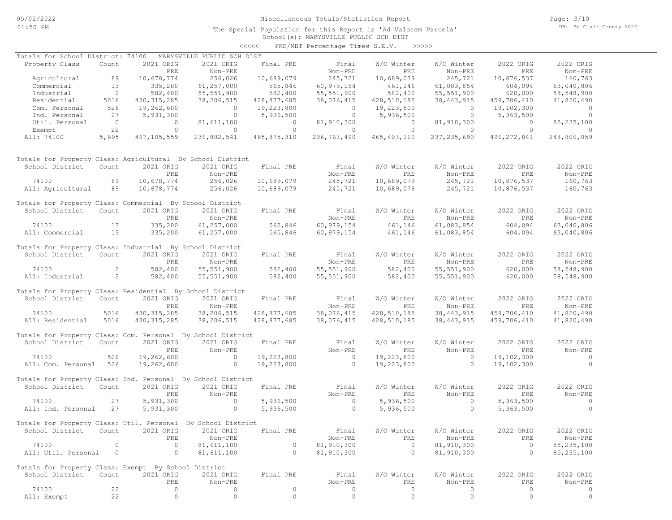The Special Population for this Report is 'Ad Valorem Parcels'

Page: 3/10 DB: St Clair County 2022

### School(s): MARYSVILLE PUBLIC SCH DIST <<<<< PRE/MBT Percentage Times S.E.V. >>>>>

| Totals for School District: 74100                            |                          |                | MARYSVILLE PUBLIC SCH DIST |                |                |                |                |                |                |
|--------------------------------------------------------------|--------------------------|----------------|----------------------------|----------------|----------------|----------------|----------------|----------------|----------------|
| Property Class                                               | Count                    | 2021 ORIG      | 2021 ORIG                  | Final PRE      | Final          | W/O Winter     | W/O Winter     | 2022 ORIG      | 2022 ORIG      |
|                                                              |                          | PRE            | Non-PRE                    |                | Non-PRE        | PRE            | Non-PRE        | PRE            | Non-PRE        |
| Agricultural                                                 | 89                       | 10,678,774     | 256,026                    | 10,689,079     | 245,721        | 10,689,079     | 245,721        | 10,876,537     | 160,763        |
| Commercial                                                   | 13                       | 335,200        | 61, 257, 000               | 565,846        | 60, 979, 154   | 461,146        | 61,083,854     | 604,094        | 63,040,806     |
| Industrial                                                   | $\overline{\phantom{a}}$ | 582,400        | 55, 551, 900               | 582,400        | 55, 551, 900   | 582,400        | 55, 551, 900   | 620,000        | 58,548,900     |
| Residential                                                  | 5016                     | 430, 315, 285  | 38,206,515                 | 428,877,685    | 38,076,415     | 428,510,185    | 38, 443, 915   | 459,706,410    | 41,820,490     |
| Com. Personal                                                | 526                      | 19,262,600     | $\overline{0}$             | 19,223,800     | $\overline{0}$ | 19,223,800     | $\overline{0}$ | 19,102,300     | $\overline{0}$ |
| Ind. Personal                                                | 27                       | 5,931,300      | $\overline{0}$             | 5,936,500      | $\overline{0}$ | 5,936,500      | $\overline{0}$ | 5,363,500      | $\circ$        |
| Util. Personal                                               | $\overline{0}$           | $\overline{0}$ | 81,611,100                 | $\sim$ 0       | 81,910,300     | $\overline{0}$ | 81,910,300     | $\overline{0}$ | 85, 235, 100   |
| Exempt                                                       | 22                       | $\circ$        | $\overline{0}$             | $\overline{0}$ | $\overline{0}$ | $\overline{0}$ | $\overline{0}$ | $\overline{0}$ | $\overline{0}$ |
| All: 74100                                                   | 5,695                    | 467,105,559    | 236,882,541                | 465,875,310    | 236,763,490    | 465, 403, 110  | 237, 235, 690  | 496,272,841    | 248,806,059    |
| Totals for Property Class: Agricultural By School District   |                          |                |                            |                |                |                |                |                |                |
| School District                                              | Count                    | 2021 ORIG      | 2021 ORIG                  | Final PRE      | Final          | W/O Winter     | W/O Winter     | 2022 ORIG      | 2022 ORIG      |
|                                                              |                          | PRE            | Non-PRE                    |                | Non-PRE        | PRE            | Non-PRE        | PRE            | Non-PRE        |
| 74100                                                        | 89                       | 10,678,774     | 256,026                    | 10,689,079     | 245,721        | 10,689,079     | 245,721        | 10,876,537     | 160,763        |
| All: Agricultural                                            | 89                       | 10,678,774     | 256,026                    | 10,689,079     | 245,721        | 10,689,079     | 245,721        | 10,876,537     | 160,763        |
| Totals for Property Class: Commercial By School District     |                          |                |                            |                |                |                |                |                |                |
| School District                                              | Count                    | 2021 ORIG      | 2021 ORIG                  | Final PRE      | Final          | W/O Winter     | W/O Winter     | 2022 ORIG      | 2022 ORIG      |
|                                                              |                          | PRE            | Non-PRE                    |                | Non-PRE        | PRE            | Non-PRE        | PRE            | Non-PRE        |
| 74100                                                        | 13                       | 335,200        | 61, 257, 000               | 565,846        | 60,979,154     | 461,146        | 61,083,854     | 604,094        | 63,040,806     |
| All: Commercial                                              | 13                       | 335,200        | 61, 257, 000               | 565,846        | 60,979,154     | 461,146        | 61,083,854     | 604,094        | 63,040,806     |
| Totals for Property Class: Industrial By School District     |                          |                |                            |                |                |                |                |                |                |
| School District                                              | Count                    | 2021 ORIG      | 2021 ORIG                  | Final PRE      | Final          | W/O Winter     | W/O Winter     | 2022 ORIG      | 2022 ORIG      |
|                                                              |                          | PRE            | Non-PRE                    |                | Non-PRE        | PRE            | Non-PRE        | PRE            | Non-PRE        |
| 74100                                                        | $\overline{2}$           | 582,400        | 55, 551, 900               | 582,400        | 55, 551, 900   | 582,400        | 55, 551, 900   | 620,000        | 58,548,900     |
| All: Industrial                                              | $\sim$ 2                 | 582,400        | 55, 551, 900               | 582,400        | 55,551,900     | 582,400        | 55, 551, 900   | 620,000        | 58,548,900     |
| Totals for Property Class: Residential By School District    |                          |                |                            |                |                |                |                |                |                |
| School District                                              | Count                    | 2021 ORIG      | 2021 ORIG                  | Final PRE      | Final          | W/O Winter     | W/O Winter     | 2022 ORIG      | 2022 ORIG      |
|                                                              |                          | PRE            | Non-PRE                    |                | Non-PRE        | <b>PRE</b>     | Non-PRE        | PRE            | Non-PRE        |
| 74100                                                        | 5016                     | 430, 315, 285  | 38,206,515                 | 428,877,685    | 38,076,415     | 428,510,185    | 38, 443, 915   | 459,706,410    | 41,820,490     |
| All: Residential                                             | 5016                     | 430, 315, 285  | 38,206,515                 | 428,877,685    | 38,076,415     | 428,510,185    | 38, 443, 915   | 459,706,410    | 41,820,490     |
| Totals for Property Class: Com. Personal By School District  |                          |                |                            |                |                |                |                |                |                |
| School District                                              | Count                    | 2021 ORIG      | 2021 ORIG                  | Final PRE      | Final          | W/O Winter     | W/O Winter     | 2022 ORIG      | 2022 ORIG      |
|                                                              |                          | PRE            | Non-PRE                    |                | Non-PRE        | PRE            | Non-PRE        | PRE            | Non-PRE        |
| 74100                                                        | 526                      | 19,262,600     | $\overline{0}$             | 19,223,800     | $\overline{0}$ | 19,223,800     | $\sim$ 0       | 19,102,300     | $\sim$ 0       |
| All: Com. Personal 526                                       |                          | 19,262,600     | $\overline{0}$             | 19,223,800     | $\overline{0}$ | 19,223,800     | $\overline{0}$ | 19,102,300     | $\overline{0}$ |
| Totals for Property Class: Ind. Personal By School District  |                          |                |                            |                |                |                |                |                |                |
| School District                                              | Count                    | 2021 ORIG      | 2021 ORIG                  | Final PRE      | Final          | W/O Winter     | W/O Winter     | 2022 ORIG      | 2022 ORIG      |
|                                                              |                          | PRE            | Non-PRE                    |                | Non-PRE        | PRE            | Non-PRE        | PRE            | Non-PRE        |
| 74100                                                        | 27                       | 5,931,300      | $\sim$ 0                   | 5,936,500      | $\sim$ 0       | 5,936,500      | $\sim$ 0       | 5,363,500      | $\overline{0}$ |
| All: Ind. Personal                                           | 27                       | 5,931,300      | $\sim$ 0                   | 5,936,500      | $\overline{a}$ | 5,936,500      | $\sim$ 0       | 5,363,500      | $\Omega$       |
|                                                              |                          |                |                            |                |                |                |                |                |                |
| Totals for Property Class: Util. Personal By School District |                          |                |                            |                |                |                |                |                |                |
| School District Count 2021 ORIG 2021 ORIG Final PRE          |                          |                |                            |                | Final          | W/O Winter     | W/O Winter     | 2022 ORIG      | 2022 ORIG      |
|                                                              |                          | PRE            | Non-PRE                    |                | Non-PRE        | PRE            | Non-PRE        | PRE            | Non-PRE        |
| 74100                                                        | $\circ$                  | $\circ$        | 81,611,100                 | $\circ$        | 81,910,300     | $\overline{0}$ | 81,910,300     | $\overline{0}$ | 85, 235, 100   |
| All: Util. Personal                                          | $\overline{0}$           | $\circ$        | 81,611,100                 | $\circ$        | 81,910,300     | $\circ$        | 81,910,300     | $\circ$        | 85, 235, 100   |
| Totals for Property Class: Exempt By School District         |                          |                |                            |                |                |                |                |                |                |
| School District                                              | Count                    | 2021 ORIG      | 2021 ORIG                  | Final PRE      | Final          | W/O Winter     | W/O Winter     | 2022 ORIG      | 2022 ORIG      |
|                                                              |                          | PRE            | Non-PRE                    |                | Non-PRE        | PRE            | Non-PRE        | PRE            | Non-PRE        |
| 74100                                                        | 22                       | $\circ$        | 0                          | $\circ$        | 0              | $\circ$        | 0              | $\circ$        | 0              |
| All: Exempt                                                  | 22                       | $\circ$        | $\circ$                    | $\circ$        | $\circ$        | $\circ$        | $\circ$        | $\circ$        | $\circ$        |
|                                                              |                          |                |                            |                |                |                |                |                |                |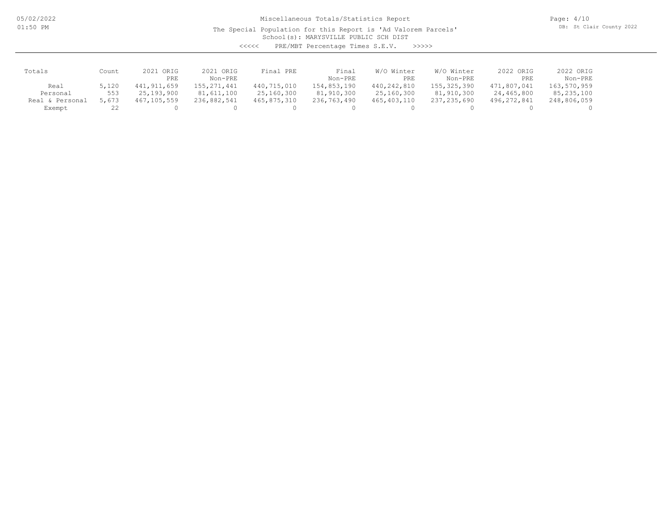05/02/2022 01:50 PM

Miscellaneous Totals/Statistics Report

The Special Population for this Report is 'Ad Valorem Parcels'

Page: 4/10 DB: St Clair County 2022

School(s): MARYSVILLE PUBLIC SCH DIST

<<<<< PRE/MBT Percentage Times S.E.V. >>>>>

| Totals             | Count | 2021<br>ORIG  | 2021 ORIG     | Final PRE   | Final       | W/O Winter  | W/O Winter    | 2022 ORIG   | 2022 ORIG   |
|--------------------|-------|---------------|---------------|-------------|-------------|-------------|---------------|-------------|-------------|
|                    |       | <b>PRE</b>    | Non-PRE       |             | Non-PRE     | PRE         | Non-PRE       | PRE         | Non-PRE     |
| Real               | 5,120 | 441, 911, 659 | 155, 271, 441 | 440,715,010 | 154,853,190 | 440,242,810 | 155, 325, 390 | 471,807,041 | 163,570,959 |
| Personal           | 553   | 25,193,900    | 81,611,100    | 25,160,300  | 81,910,300  | 25,160,300  | 81,910,300    | 24,465,800  | 85,235,100  |
| Personal<br>Real & | 5,673 | 467,105,559   | 236,882,541   | 465,875,310 | 236,763,490 | 465,403,110 | 237,235,690   | 496,272,841 | 248,806,059 |
| Exempt             |       |               |               |             |             |             |               |             |             |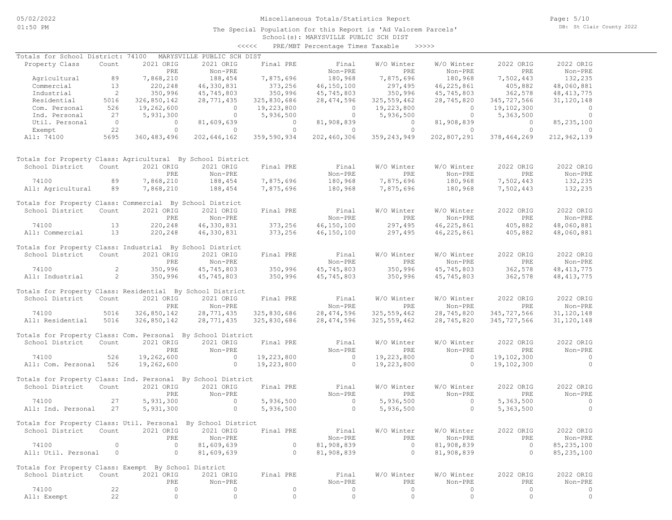The Special Population for this Report is 'Ad Valorem Parcels'

Page: 5/10 DB: St Clair County 2022

### School(s): MARYSVILLE PUBLIC SCH DIST <<<<< PRE/MBT Percentage Times Taxable >>>>>

| Totals for School District: 74100                            |                          |                | MARYSVILLE PUBLIC SCH DIST |                    |                |                |                |                |                |
|--------------------------------------------------------------|--------------------------|----------------|----------------------------|--------------------|----------------|----------------|----------------|----------------|----------------|
| Property Class                                               | Count                    | 2021 ORIG      | 2021 ORIG                  | Final PRE          | Final          | W/O Winter     | W/O Winter     | 2022 ORIG      | 2022 ORIG      |
|                                                              |                          | PRE            | Non-PRE                    |                    | Non-PRE        | PRE            | Non-PRE        | PRE            | Non-PRE        |
| Agricultural                                                 | 89                       | 7,868,210      | 188,454                    | 7,875,696          | 180,968        | 7,875,696      | 180,968        | 7,502,443      | 132,235        |
| Commercial                                                   | 13                       | 220,248        | 46,330,831                 | 373,256            | 46,150,100     | 297,495        | 46, 225, 861   | 405,882        | 48,060,881     |
| Industrial                                                   | $\overline{\phantom{0}}$ | 350,996        | 45,745,803                 | 350,996            | 45,745,803     | 350,996        | 45,745,803     | 362,578        | 48, 413, 775   |
| Residential                                                  | 5016                     | 326,850,142    | 28,771,435                 | 325,830,686        | 28,474,596     | 325,559,462    | 28,745,820     | 345,727,566    | 31,120,148     |
| Com. Personal                                                | 526                      | 19,262,600     | $\overline{0}$             | 19,223,800         | $\overline{0}$ | 19,223,800     | $\circ$        | 19,102,300     | $\circ$        |
| Ind. Personal                                                | 27                       | 5,931,300      | $\overline{0}$             | 5,936,500          | $\overline{0}$ | 5,936,500      | $\circ$        | 5,363,500      | $\circ$        |
| Util. Personal                                               | $\overline{0}$           | $\overline{0}$ | 81,609,639                 | $\overline{0}$     | 81,908,839     | $\overline{0}$ | 81,908,839     | $\overline{0}$ | 85, 235, 100   |
| Exempt                                                       | 22                       | $\Omega$       | $\Omega$                   | $\Omega$           | $\Omega$       | $\Omega$       | $\Omega$       | $\Omega$       | $\Omega$       |
| All: 74100                                                   | 5695                     | 360, 483, 496  | 202,646,162                | 359,590,934        | 202,460,306    | 359, 243, 949  | 202,807,291    | 378,464,269    | 212,962,139    |
|                                                              |                          |                |                            |                    |                |                |                |                |                |
| Totals for Property Class: Agricultural By School District   |                          |                |                            |                    |                |                |                |                |                |
| School District                                              | Count                    | 2021 ORIG      | 2021 ORIG                  | Final PRE          | Final          | W/O Winter     | W/O Winter     | 2022 ORIG      | 2022 ORIG      |
|                                                              |                          | PRE            | Non-PRE                    |                    | Non-PRE        | PRE            | Non-PRE        | PRE            | Non-PRE        |
| 74100                                                        | 89                       | 7,868,210      | 188,454                    | 7,875,696          | 180,968        | 7,875,696      | 180,968        | 7,502,443      | 132,235        |
| All: Agricultural                                            | 89                       | 7,868,210      | 188,454                    | 7,875,696          | 180,968        | 7,875,696      | 180,968        | 7,502,443      | 132,235        |
| Totals for Property Class: Commercial By School District     |                          |                |                            |                    |                |                |                |                |                |
| School District                                              | Count                    | 2021 ORIG      | 2021 ORIG                  | Final PRE          | Final          | W/O Winter     | W/O Winter     | 2022 ORIG      | 2022 ORIG      |
|                                                              |                          | PRE            | Non-PRE                    |                    | Non-PRE        | PRE            | Non-PRE        | PRE            | Non-PRE        |
| 74100                                                        | 13                       | 220,248        | 46,330,831                 |                    | 46,150,100     | 297,495        | 46,225,861     | 405,882        | 48,060,881     |
| All: Commercial                                              | 13                       | 220,248        | 46,330,831                 | 373,256<br>373,256 | 46,150,100     | 297,495        | 46,225,861     | 405,882        | 48,060,881     |
| Totals for Property Class: Industrial By School District     |                          |                |                            |                    |                |                |                |                |                |
| School District                                              | Count                    | 2021 ORIG      | 2021 ORIG                  | Final PRE          | Final          | W/O Winter     | W/O Winter     | 2022 ORIG      | 2022 ORIG      |
|                                                              |                          | PRE            | Non-PRE                    |                    | Non-PRE        | PRE            | Non-PRE        | PRE            | Non-PRE        |
| 74100                                                        | $\overline{2}$           | 350,996        | 45,745,803                 | 350,996            | 45,745,803     | 350,996        | 45,745,803     | 362,578        | 48, 413, 775   |
| All: Industrial                                              | $\overline{2}$           | 350,996        | 45,745,803                 | 350,996            | 45,745,803     | 350,996        | 45,745,803     | 362,578        | 48, 413, 775   |
|                                                              |                          |                |                            |                    |                |                |                |                |                |
| Totals for Property Class: Residential By School District    |                          |                |                            |                    |                |                |                |                |                |
| School District                                              | Count                    | 2021 ORIG      | 2021 ORIG                  | Final PRE          | Final          | W/O Winter     | W/O Winter     | 2022 ORIG      | 2022 ORIG      |
|                                                              |                          | PRE            | Non-PRE                    |                    | Non-PRE        | PRE            | Non-PRE        | PRE            | Non-PRE        |
| 74100                                                        | 5016                     | 326,850,142    | 28,771,435                 | 325,830,686        | 28,474,596     | 325, 559, 462  | 28,745,820     | 345,727,566    | 31, 120, 148   |
| All: Residential                                             | 5016                     | 326,850,142    | 28,771,435                 | 325,830,686        | 28, 474, 596   | 325, 559, 462  | 28,745,820     | 345,727,566    | 31, 120, 148   |
| Totals for Property Class: Com. Personal By School District  |                          |                |                            |                    |                |                |                |                |                |
| School District                                              | Count                    | 2021 ORIG      | 2021 ORIG                  | Final PRE          | Final          | W/O Winter     | W/O Winter     | 2022 ORIG      | 2022 ORIG      |
|                                                              |                          | PRE            | Non-PRE                    |                    | Non-PRE        | PRE            | Non-PRE        | PRE            | Non-PRE        |
| 74100                                                        | 526                      | 19,262,600     | $\overline{0}$             | 19,223,800         | $\overline{0}$ | 19,223,800     | $\circ$        | 19,102,300     | $\overline{0}$ |
| All: Com. Personal 526                                       |                          | 19,262,600     | $\overline{0}$             | 19,223,800         | $\circ$        | 19,223,800     | $\circ$        | 19,102,300     | $\circ$        |
| Totals for Property Class: Ind. Personal By School District  |                          |                |                            |                    |                |                |                |                |                |
| School District                                              | Count                    | 2021 ORIG      | 2021 ORIG                  | Final PRE          | Final          | W/O Winter     | W/O Winter     | 2022 ORIG      | 2022 ORIG      |
|                                                              |                          | PRE            | Non-PRE                    |                    | Non-PRE        | PRE            | Non-PRE        | PRE            | Non-PRE        |
| 74100                                                        | 27                       | 5,931,300      | $\sim$ 0                   | 5,936,500          | $\sim$ 0       | 5,936,500      | $\overline{0}$ | 5,363,500      | $\circ$        |
| All: Ind. Personal                                           | 27                       | 5,931,300      | $\circ$                    | 5,936,500          | $\circ$        | 5,936,500      | $\circ$        | 5,363,500      | $\circ$        |
|                                                              |                          |                |                            |                    |                |                |                |                |                |
| Totals for Property Class: Util. Personal By School District |                          |                |                            |                    |                |                |                |                |                |
| School District Count 2021 ORIG 2021 ORIG                    |                          |                |                            | Final PRE          | Final          | W/O Winter     | W/O Winter     | 2022 ORIG      | 2022 ORIG      |
|                                                              |                          | PRE            | Non-PRE                    |                    | Non-PRE        | PRE            | Non-PRE        | PRE            | Non-PRE        |
| 74100                                                        | $\Omega$                 | $\circ$        | 81,609,639                 | $\circ$            | 81,908,839     | $\circ$        | 81,908,839     | $\circ$        | 85, 235, 100   |
| All: Util. Personal                                          | 0                        | $\circ$        | 81,609,639                 | $\circ$            | 81,908,839     | $\circ$        | 81,908,839     | $\circ$        | 85, 235, 100   |
|                                                              |                          |                |                            |                    |                |                |                |                |                |
| Totals for Property Class: Exempt By School District         |                          |                |                            |                    |                |                |                |                |                |
| School District                                              | Count                    | 2021 ORIG      | 2021 ORIG                  | Final PRE          | Final          | W/O Winter     | W/O Winter     | 2022 ORIG      | 2022 ORIG      |
|                                                              |                          | PRE            | Non-PRE                    |                    | Non-PRE        | PRE            | Non-PRE        | PRE            | Non-PRE        |
| 74100                                                        | 22                       | 0              | $\circ$                    | $\circ$            | $\circ$        | $\circ$        | $\circ$        | $\circ$        | $\circ$        |
| All: Exempt                                                  | 22                       | $\mathbb O$    | $\mathbb O$                | $\mathbb O$        | $\mathbb O$    | $\mathbb O$    | $\circ$        | $\circ$        | $\circ$        |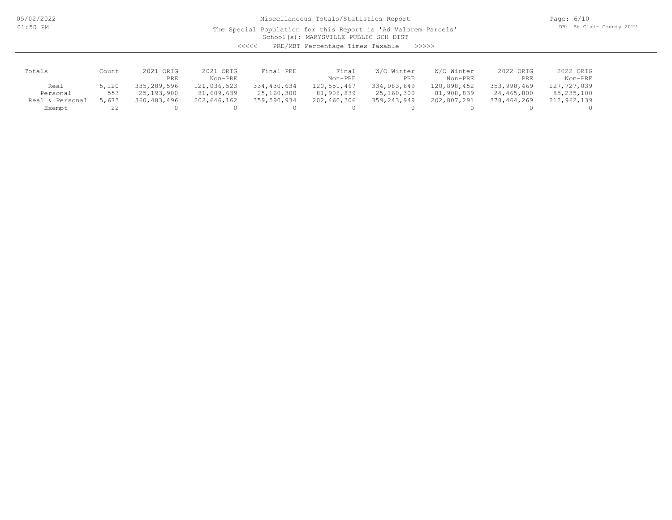05/02/2022 01:50 PM

# Miscellaneous Totals/Statistics Report

The Special Population for this Report is 'Ad Valorem Parcels'

Page: 6/10 DB: St Clair County 2022

School(s): MARYSVILLE PUBLIC SCH DIST

| くくくくく | PRE/MBT Percentage Times Taxable |  |  | >>>>> |
|-------|----------------------------------|--|--|-------|
|-------|----------------------------------|--|--|-------|

| Totals             | Count | 2021 ORIG   | 2021 ORIG   | PRE<br>Final | Final       | W/O Winter  | W/O Winter  | 2022 ORIG   | 2022 ORIG    |
|--------------------|-------|-------------|-------------|--------------|-------------|-------------|-------------|-------------|--------------|
|                    |       | PRE         | Non-PRE     |              | Non-PRE     | PRE         | Non-PRE     | PRE         | Non-PRE      |
| Real               | 5,120 | 335,289,596 | 121,036,523 | 334,430,634  | 120,551,467 | 334,083,649 | 120,898,452 | 353,998,469 | 127,727,039  |
| Personal           | 553   | 25,193,900  | 81,609,639  | 25,160,300   | 81,908,839  | 25,160,300  | 81,908,839  | 24,465,800  | 85, 235, 100 |
| Personal<br>Real & | 5,673 | 360,483,496 | 202,646,162 | 359,590,934  | 202,460,306 | 359,243,949 | 202,807,291 | 378,464,269 | 212,962,139  |
| Exempt             |       |             |             |              |             |             |             |             |              |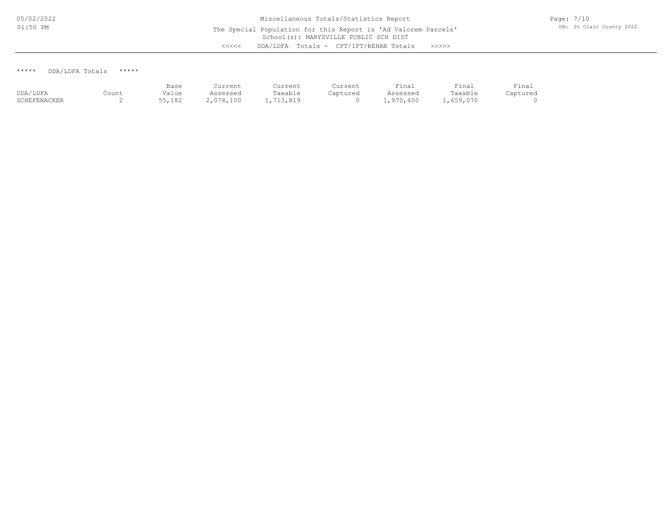\*\*\*\*\* DDA/LDFA Totals \*\*\*\*\*

|              |       | Base   | Current   | Current  | Current  | Final     | Final     | Final    |
|--------------|-------|--------|-----------|----------|----------|-----------|-----------|----------|
| DDA/LDFA     | Count | Value  | Assessed  | Taxable  | Captured | Assessed  | Taxable   | Captured |
| SCHEFENACKER | ∼     | 55,182 | 2,078,100 | ,713,819 |          | 1,970,400 | .,659,070 |          |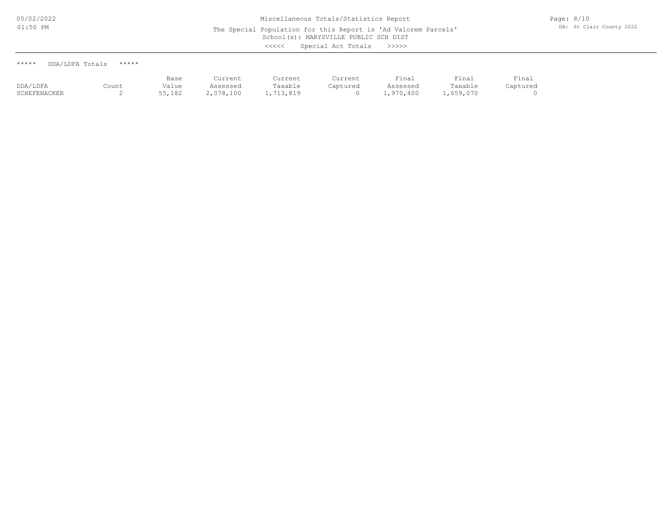| DDA/LDFA Totals<br>***** | ***** |
|--------------------------|-------|
|--------------------------|-------|

|              |       | Base   | Current   | Current   | Current  | Final     | Final     | Final    |
|--------------|-------|--------|-----------|-----------|----------|-----------|-----------|----------|
| DDA/LDFA     | Count | Value  | Assessed  | Taxable   | Captured | Assessed  | Taxable   | Captured |
| SCHEFENACKER |       | 55,182 | 2,078,100 | 1,713,819 |          | 1,970,400 | 1,659,070 |          |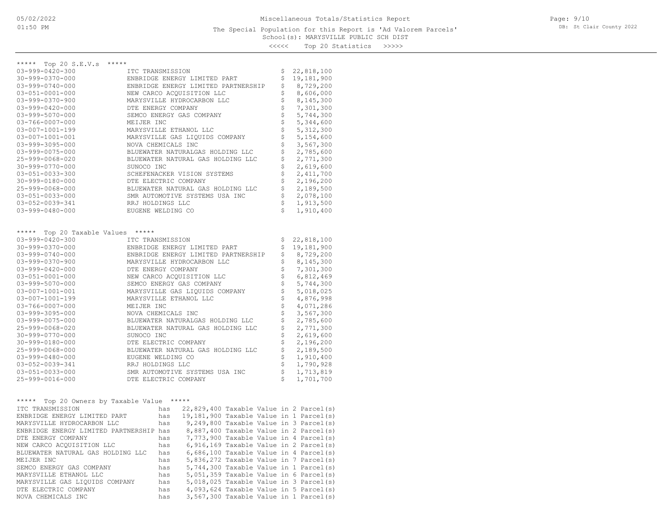<<<<< Top 20 Statistics >>>>>

| ***** Top 20 S.E.V.s                    | *****             |                                                 |       |  |  |          |                                           |
|-----------------------------------------|-------------------|-------------------------------------------------|-------|--|--|----------|-------------------------------------------|
| $03 - 999 - 0420 - 300$                 |                   | ITC TRANSMISSION                                |       |  |  | \$<br>\$ | 22,818,100                                |
| $30 - 999 - 0370 - 000$                 |                   | ENBRIDGE ENERGY LIMITED PART                    |       |  |  |          | 19,181,900                                |
| $03 - 999 - 0740 - 000$                 |                   | ENBRIDGE ENERGY LIMITED PARTNERSHIP             |       |  |  |          | 8,729,200                                 |
| $03 - 051 - 0001 - 000$                 |                   | NEW CARCO ACQUISITION LLC                       |       |  |  | \$       | 8,606,000                                 |
| $03 - 999 - 0370 - 900$                 |                   | MARYSVILLE HYDROCARBON LLC                      |       |  |  | \$       | 8,145,300                                 |
| $03 - 999 - 0420 - 000$                 |                   | DTE ENERGY COMPANY                              |       |  |  | \$       | 7,301,300                                 |
| $03 - 999 - 5070 - 000$                 |                   | SEMCO ENERGY GAS COMPANY                        |       |  |  | \$       | 5,744,300                                 |
| $03 - 766 - 0007 - 000$                 |                   | MEIJER INC                                      |       |  |  | \$       | 5,344,600                                 |
| 03-007-1001-199                         |                   | MARYSVILLE ETHANOL LLC                          |       |  |  | \$       | 5, 312, 300                               |
| 03-007-1001-001                         |                   | MARYSVILLE GAS LIQUIDS COMPANY                  |       |  |  | \$       | 5,154,600                                 |
| $03 - 999 - 3095 - 000$                 |                   | NOVA CHEMICALS INC                              |       |  |  | \$       | 3,567,300                                 |
| $03 - 999 - 0075 - 000$                 |                   | BLUEWATER NATURALGAS HOLDING LLC                |       |  |  | \$       | 2,785,600                                 |
| 25-999-0068-020                         |                   | BLUEWATER NATURAL GAS HOLDING LLC               |       |  |  | \$<br>\$ | 2,771,300                                 |
| $30 - 999 - 0770 - 000$                 |                   | SUNOCO INC                                      |       |  |  |          | 2,619,600                                 |
| 03-051-0033-300                         |                   | SCHEFENACKER VISION SYSTEMS                     |       |  |  |          | 2,411,700                                 |
| 30-999-0180-000                         |                   | DTE ELECTRIC COMPANY                            |       |  |  |          | 2,196,200                                 |
| 25-999-0068-000                         |                   | BLUEWATER NATURAL GAS HOLDING LLC               |       |  |  |          | 2,189,500                                 |
| $03 - 051 - 0033 - 000$                 |                   | \$<br>SMR AUTOMOTIVE SYSTEMS USA INC            |       |  |  |          | 2,078,100                                 |
| 03-052-0039-341                         |                   | RRJ HOLDINGS LLC                                |       |  |  |          | 1,913,500                                 |
| $03 - 999 - 0480 - 000$                 | EUGENE WELDING CO |                                                 |       |  |  | \$       | 1,910,400                                 |
|                                         |                   |                                                 |       |  |  |          |                                           |
| *****<br>Top 20 Taxable Values          | *****             |                                                 |       |  |  |          |                                           |
| $03 - 999 - 0420 - 300$                 | ITC TRANSMISSION  |                                                 |       |  |  | \$       | 22,818,100                                |
| $30 - 999 - 0370 - 000$                 |                   | ENBRIDGE ENERGY LIMITED PART                    |       |  |  |          | 19,181,900                                |
| $03 - 999 - 0740 - 000$                 |                   | \$<br>\$<br>ENBRIDGE ENERGY LIMITED PARTNERSHIP |       |  |  |          | 8,729,200                                 |
| $03 - 999 - 0370 - 900$                 |                   | \$<br>MARYSVILLE HYDROCARBON LLC                |       |  |  |          | 8,145,300                                 |
| $03 - 999 - 0420 - 000$                 |                   | DTE ENERGY COMPANY                              |       |  |  |          | 7,301,300                                 |
| $03 - 051 - 0001 - 000$                 |                   | NEW CARCO ACQUISITION LLC                       |       |  |  |          | 6,812,469                                 |
| $03 - 999 - 5070 - 000$                 |                   | SEMCO ENERGY GAS COMPANY                        |       |  |  |          | 5,744,300                                 |
| 03-007-1001-001                         |                   | MARYSVILLE GAS LIQUIDS COMPANY                  |       |  |  |          | 5,018,025                                 |
| 03-007-1001-199                         |                   | MARYSVILLE ETHANOL LLC                          |       |  |  |          | 4,876,998                                 |
| $03 - 766 - 0007 - 000$                 |                   | MEIJER INC                                      |       |  |  |          | 4,071,286                                 |
| 03-999-3095-000                         |                   | NOVA CHEMICALS INC                              |       |  |  |          | 3,567,300                                 |
| 03-999-0075-000                         |                   | BLUEWATER NATURALGAS HOLDING LLC                |       |  |  |          | 2,785,600                                 |
| 25-999-0068-020                         |                   | \$<br>\$<br>BLUEWATER NATURAL GAS HOLDING LLC   |       |  |  |          | 2,771,300                                 |
| $30 - 999 - 0770 - 000$                 |                   | \$<br>SUNOCO INC                                |       |  |  |          | 2,619,600                                 |
| 30-999-0180-000                         |                   | \$<br>DTE ELECTRIC COMPANY                      |       |  |  |          | 2,196,200                                 |
| 25-999-0068-000                         |                   | \$<br>BLUEWATER NATURAL GAS HOLDING LLC         |       |  |  |          | 2,189,500                                 |
| $03 - 999 - 0480 - 000$                 |                   | \$<br>EUGENE WELDING CO                         |       |  |  |          | 1,910,400                                 |
| 03-052-0039-341                         |                   | \$<br>RRJ HOLDINGS LLC                          |       |  |  |          | 1,790,928                                 |
| $03 - 051 - 0033 - 000$                 |                   | \$<br>SMR AUTOMOTIVE SYSTEMS USA INC            |       |  |  |          | 1,713,819                                 |
| 25-999-0016-000                         |                   | \$<br>DTE ELECTRIC COMPANY                      |       |  |  |          | 1,701,700                                 |
|                                         |                   |                                                 |       |  |  |          |                                           |
| Top 20 Owners by Taxable Value<br>***** |                   |                                                 | ***** |  |  |          |                                           |
| ITC TRANSMISSION                        |                   | has                                             |       |  |  |          | $22,829,400$ Taxable Value in 2 Parcel(s) |
| ENBRIDGE ENERGY LIMITED PART            |                   | has                                             |       |  |  |          | 19,181,900 Taxable Value in 1 Parcel(s)   |
| MARYSVILLE HYDROCARBON LLC              |                   | has                                             |       |  |  |          | 9,249,800 Taxable Value in 3 Parcel(s)    |
| ENBRIDGE ENERGY LIMITED PARTNERSHIP has |                   |                                                 |       |  |  |          | 8,887,400 Taxable Value in 2 Parcel(s)    |
| DTE ENERGY COMPANY                      |                   | has                                             |       |  |  |          | 7,773,900 Taxable Value in 4 Parcel(s)    |
| NEW CARCO ACOUISITION LLC               |                   | has                                             |       |  |  |          | 6,916,169 Taxable Value in 2 Parcel(s)    |
| BLUEWATER NATURAL GAS HOLDING LLC       |                   | has                                             |       |  |  |          | 6,686,100 Taxable Value in 4 Parcel(s)    |
| MEIJER INC                              |                   | has                                             |       |  |  |          | 5,836,272 Taxable Value in 7 Parcel(s)    |
| SEMCO ENERGY GAS COMPANY                |                   | has                                             |       |  |  |          | 5,744,300 Taxable Value in 1 Parcel(s)    |
| MARYSVILLE ETHANOL LLC                  |                   | has                                             |       |  |  |          | 5,051,359 Taxable Value in 6 Parcel(s)    |
| MARYSVILLE GAS LIQUIDS COMPANY          |                   | has                                             |       |  |  |          | 5,018,025 Taxable Value in 3 Parcel(s)    |
| DTE ELECTRIC COMPANY                    |                   | has                                             |       |  |  |          | $4,093,624$ Taxable Value in 5 Parcel(s)  |
| NOVA CHEMICALS INC                      |                   | has                                             |       |  |  |          | $3,567,300$ Taxable Value in 1 Parcel(s)  |
|                                         |                   |                                                 |       |  |  |          |                                           |
|                                         |                   |                                                 |       |  |  |          |                                           |